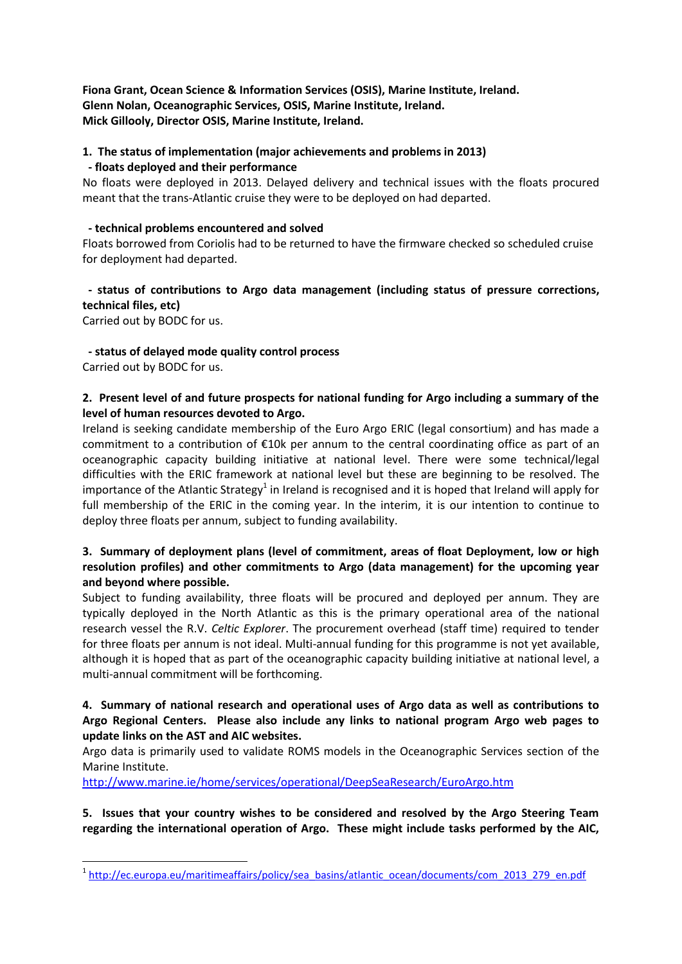**Fiona Grant, Ocean Science & Information Services (OSIS), Marine Institute, Ireland. Glenn Nolan, Oceanographic Services, OSIS, Marine Institute, Ireland. Mick Gillooly, Director OSIS, Marine Institute, Ireland.**

# **1. The status of implementation (major achievements and problems in 2013)**

#### **- floats deployed and their performance**

No floats were deployed in 2013. Delayed delivery and technical issues with the floats procured meant that the trans-Atlantic cruise they were to be deployed on had departed.

#### **- technical problems encountered and solved**

Floats borrowed from Coriolis had to be returned to have the firmware checked so scheduled cruise for deployment had departed.

# **- status of contributions to Argo data management (including status of pressure corrections, technical files, etc)**

Carried out by BODC for us.

## **- status of delayed mode quality control process**

Carried out by BODC for us.

**.** 

## **2. Present level of and future prospects for national funding for Argo including a summary of the level of human resources devoted to Argo.**

Ireland is seeking candidate membership of the Euro Argo ERIC (legal consortium) and has made a commitment to a contribution of €10k per annum to the central coordinating office as part of an oceanographic capacity building initiative at national level. There were some technical/legal difficulties with the ERIC framework at national level but these are beginning to be resolved. The importance of the Atlantic Strategy<sup>1</sup> in Ireland is recognised and it is hoped that Ireland will apply for full membership of the ERIC in the coming year. In the interim, it is our intention to continue to deploy three floats per annum, subject to funding availability.

## **3. Summary of deployment plans (level of commitment, areas of float Deployment, low or high resolution profiles) and other commitments to Argo (data management) for the upcoming year and beyond where possible.**

Subject to funding availability, three floats will be procured and deployed per annum. They are typically deployed in the North Atlantic as this is the primary operational area of the national research vessel the R.V. *Celtic Explorer*. The procurement overhead (staff time) required to tender for three floats per annum is not ideal. Multi-annual funding for this programme is not yet available, although it is hoped that as part of the oceanographic capacity building initiative at national level, a multi-annual commitment will be forthcoming.

#### **4. Summary of national research and operational uses of Argo data as well as contributions to Argo Regional Centers. Please also include any links to national program Argo web pages to update links on the AST and AIC websites.**

Argo data is primarily used to validate ROMS models in the Oceanographic Services section of the Marine Institute.

<http://www.marine.ie/home/services/operational/DeepSeaResearch/EuroArgo.htm>

**5. Issues that your country wishes to be considered and resolved by the Argo Steering Team regarding the international operation of Argo. These might include tasks performed by the AIC,** 

<sup>&</sup>lt;sup>1</sup> http://ec.europa.eu/maritimeaffairs/policy/sea basins/atlantic ocean/documents/com 2013 279 en.pdf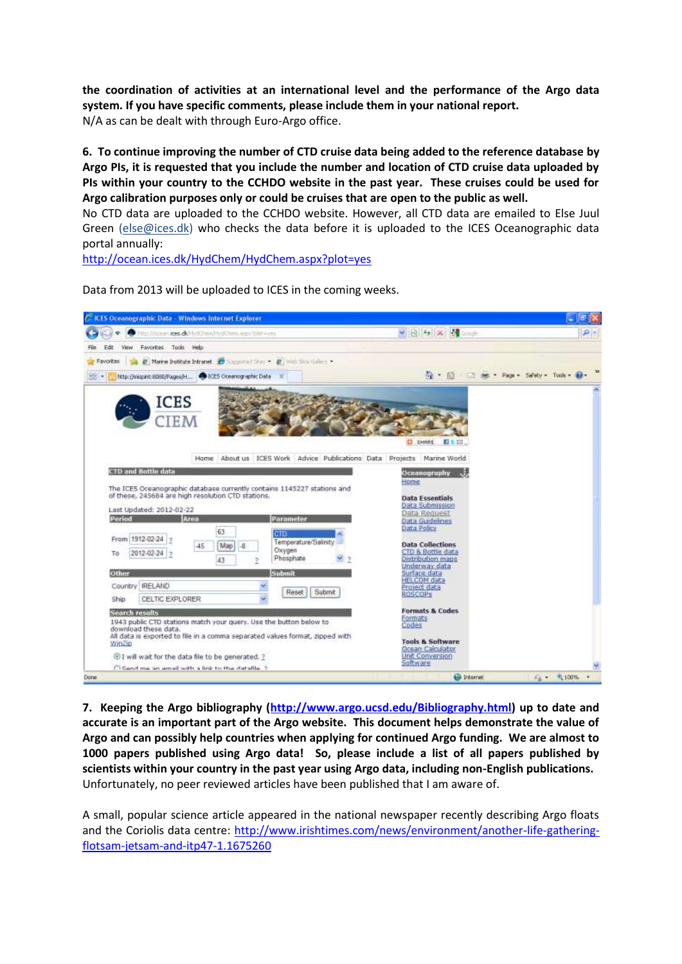**the coordination of activities at an international level and the performance of the Argo data system. If you have specific comments, please include them in your national report.** N/A as can be dealt with through Euro-Argo office.

**6. To continue improving the number of CTD cruise data being added to the reference database by Argo PIs, it is requested that you include the number and location of CTD cruise data uploaded by PIs within your country to the CCHDO website in the past year. These cruises could be used for Argo calibration purposes only or could be cruises that are open to the public as well.**

No CTD data are uploaded to the CCHDO website. However, all CTD data are emailed to Else Juul Green [\(else@ices.dk\)](mailto:else@ices.dk) who checks the data before it is uploaded to the ICES Oceanographic data portal annually:

<http://ocean.ices.dk/HydChem/HydChem.aspx?plot=yes>



Data from 2013 will be uploaded to ICES in the coming weeks.

**7. Keeping the Argo bibliography [\(http://www.argo.ucsd.edu/Bibliography.html\)](http://www.argo.ucsd.edu/Bibliography.html) up to date and accurate is an important part of the Argo website. This document helps demonstrate the value of Argo and can possibly help countries when applying for continued Argo funding. We are almost to 1000 papers published using Argo data! So, please include a list of all papers published by scientists within your country in the past year using Argo data, including non-English publications.** Unfortunately, no peer reviewed articles have been published that I am aware of.

A small, popular science article appeared in the national newspaper recently describing Argo floats and the Coriolis data centre: [http://www.irishtimes.com/news/environment/another-life-gathering](http://www.irishtimes.com/news/environment/another-life-gathering-flotsam-jetsam-and-itp47-1.1675260)[flotsam-jetsam-and-itp47-1.1675260](http://www.irishtimes.com/news/environment/another-life-gathering-flotsam-jetsam-and-itp47-1.1675260)